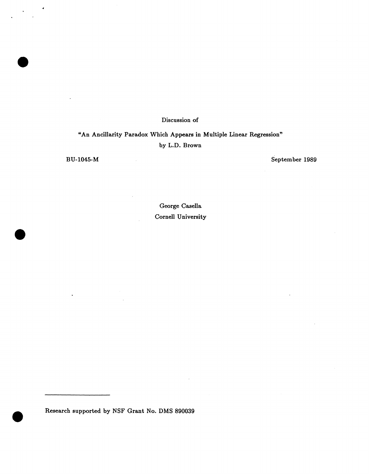## Discussion of

"An Ancillarity Paradox Which Appears in Multiple Linear Regression" by L.D. Brown

BU-1045-M September 1989

George Casella. Cornell University

Research supported by NSF Grant No. DMS 890039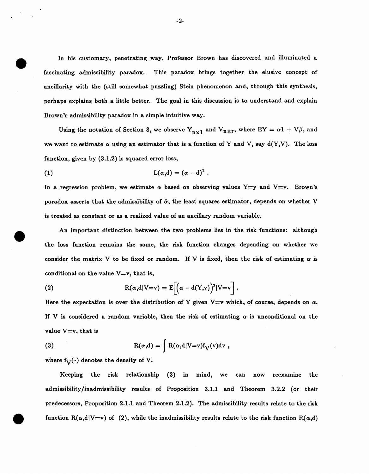In his customary, penetrating way, Professor Brown has discovered and illuminated a fascinating admissibility paradox. This paradox brings together the elusive concept of ancillarity with the (still somewhat puzzling) Stein phenomenon and, through this synthesis, perhaps explains both a little better. The goal in this discussion is to understand and explain Brown's admissibility paradox in a simple intuitive way.

Using the notation of Section 3, we observe  $Y_{n\times1}$  and  $V_{n\times r}$ , where EY =  $\alpha$ 1 + V $\beta$ , and we want to estimate  $\alpha$  using an estimator that is a function of Y and V, say  $d(Y, V)$ . The loss function, given by (3.1.2) is squared error loss,

(1) 
$$
L(\alpha,d)=(\alpha-d)^2.
$$

In a regression problem, we estimate  $\alpha$  based on observing values Y=y and V=v. Brown's paradox asserts that the admissibility of  $\hat{\alpha}$ , the least squares estimator, depends on whether V is treated as constant or as a realized value of an ancillary random variable.

An important distinction between the two problems lies in the risk functions: although the loss function remains the same, the risk function changes depending on whether we consider the matrix V to be fixed or random. If V is fixed, then the risk of estimating  $\alpha$  is conditional on the value  $V=v$ , that is,

(2) 
$$
R(\alpha, d|V=v) = E[(\alpha - d(Y,v))^2|V=v].
$$

Here the expectation is over the distribution of Y given  $V=v$  which, of course, depends on  $\alpha$ . If V is considered a random variable, then the risk of estimating  $\alpha$  is unconditional on the value  $V=v$ , that is

(3) 
$$
R(\alpha,d) = \int R(\alpha,d|V=v) f_V(v) dv,
$$

where  $f_V(\cdot)$  denotes the density of V.

Keeping the risk relationship (3) in mind, we can now reexamine the admissibility /inadmissibility results of Proposition 3.1.1 and Theorem 3.2.2 (or their predecessors, Proposition 2.1.1 and Theorem 2.1.2). The admissibility results relate to the risk function  $R(\alpha, d|V=v)$  of (2), while the inadmissibility results relate to the risk function  $R(\alpha, d)$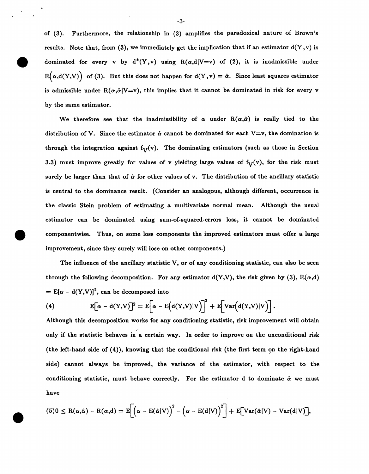of (3). Furthermore, the relationship in (3) amplifies the paradoxical nature of Brown's results. Note that, from (3), we immediately get the implication that if an estimator  $d(Y, v)$  is dominated for every v by  $d^*(Y, v)$  using  $R(\alpha, d|V=v)$  of (2), it is inadmissible under  $R(\alpha,d(Y,V))$  of (3). But this does not happen for  $d(Y,v) = \hat{\alpha}$ . Since least squares estimator is admissible under  $R(\alpha,\hat{\alpha}|V=v)$ , this implies that it cannot be dominated in risk for every v by the same estimator.

We therefore see that the inadmissibility of  $\alpha$  under  $R(\alpha,\hat{\alpha})$  is really tied to the distribution of V. Since the estimator  $\hat{\alpha}$  cannot be dominated for each V=v, the domination is through the integration against  $f_V(v)$ . The dominating estimators (such as those in Section 3.3) must improve greatly for values of v yielding large values of  $f_V(v)$ , for the risk must surely be larger than that of  $\hat{\alpha}$  for other values of v. The distribution of the ancillary statistic is central to the dominance result. (Consider an analogous, although different, occurrence in the classic Stein problem of estimating a multivariate normal mean. Although the usual estimator can be dominated using sum-of-squared-errors loss, it cannot be dominated componentwise. Thus, on some loss components the improved estimators must offer a large improvement, since they surely will lose on other components.)

The influence of the ancillary statistic V, or of any conditioning statistic, can also be seen through the following decomposition. For any estimator  $d(Y, V)$ , the risk given by (3),  $R(\alpha,d)$  $=$  E[ $\alpha$  - d(Y,V)]<sup>2</sup>, can be decomposed into

(4) 
$$
E[\alpha - d(Y,V)]^2 = E[\alpha - E(d(Y,V)|V)]^2 + E[Var(d(Y,V)|V)]
$$

Although this decomposition works for any conditioning statistic, risk improvement will obtain only if the statistic behaves in a certain way. In order to improve on the unconditional risk (the left-hand side of  $(4)$ ), knowing that the conditional risk (the first term on the right-hand side) cannot always be improved, the variance of the estimator, with respect to the conditioning statistic, must behave correctly. For the estimator  $d$  to dominate  $\hat{\alpha}$  we must have

$$
(5)0 \le R(\alpha,\hat{\alpha}) - R(\alpha,d) = E\left[\left(\alpha - E(\hat{\alpha}|V)\right)^2 - \left(\alpha - E(d|V)\right)^2\right] + E\left[Var(\hat{\alpha}|V) - Var(d|V)\right],
$$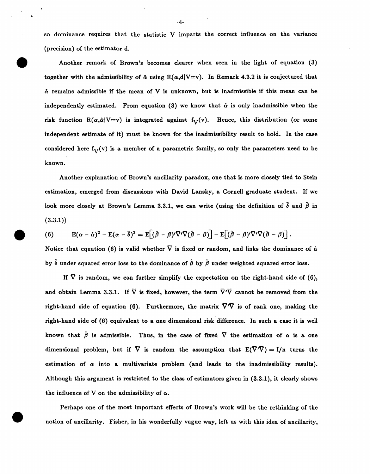so dominance requires that the statistic V imparts the correct influence on the variance (precision) of the estimator d.

Another remark of Brown's becomes clearer when seen in the light of equation (3) together with the admissibility of  $\hat{\alpha}$  using  $R(\alpha,d|V=v)$ . In Remark 4.3.2 it is conjectured that  $\hat{\alpha}$  remains admissible if the mean of V is unknown, but is inadmissible if this mean can be independently estimated. From equation (3) we know that  $\hat{\alpha}$  is only inadmissible when the risk function  $R(\alpha,\hat{\alpha}|V=v)$  is integrated against f<sub>V</sub>(v). Hence, this distribution (or some independent estimate of it) must be known for the inadmissibility result to hold. In the case considered here  $f_V(v)$  is a member of a parametric family, so only the parameters need to be known.

Another explanation of Brown's ancillarity paradox, one that is more closely tied to Stein estimation, emerged from discussions with David Lansky, a Cornell graduate student. If we look more closely at Brown's Lemma 3.3.1, we can write (using the definition of  $\tilde{\delta}$  and  $\tilde{\beta}$  in (3.3.1))

(6) 
$$
E(\alpha - \hat{\alpha})^2 - E(\alpha - \tilde{\delta})^2 = E[(\hat{\beta} - \beta)^t \nabla^t \nabla (\hat{\beta} - \beta)] - E[(\tilde{\beta} - \beta)^t \nabla^t \nabla (\tilde{\beta} - \beta)].
$$

Notice that equation (6) is valid whether  $\bar{\nabla}$  is fixed or random, and links the dominance of  $\hat{\alpha}$ by  $\tilde{\delta}$  under squared error loss to the dominance of  $\hat{\beta}$  by  $\tilde{\beta}$  under weighted squared error loss.

If  $\bar{V}$  is random, we can further simplify the expectation on the right-hand side of (6), and obtain Lemma 3.3.1. If  $\overline{V}$  is fixed, however, the term  $\overline{V'V}$  cannot be removed from the right-hand side of equation (6). Furthermore, the matrix  $\nabla \nabla$  is of rank one, making the right-hand side of (6) equivalent to a one dimensional risk difference. In such a case it is well known that  $\hat{\beta}$  is admissible. Thus, in the case of fixed  $\nabla$  the estimation of  $\alpha$  is a one dimensional problem, but if  $\nabla$  is random the assumption that  $E(\nabla \cdot \nabla) = I/n$  turns the estimation of  $\alpha$  into a multivariate problem (and leads to the inadmissibility results). Although this argument is restricted to the class of estimators given in (3.3.1), it clearly shows the influence of V on the admissibility of  $\alpha$ .

Perhaps one of the most important effects of Brown's work will be the rethinking of the notion of ancillarity. Fisher, in his wonderfully vague way, left us with this idea of ancillarity,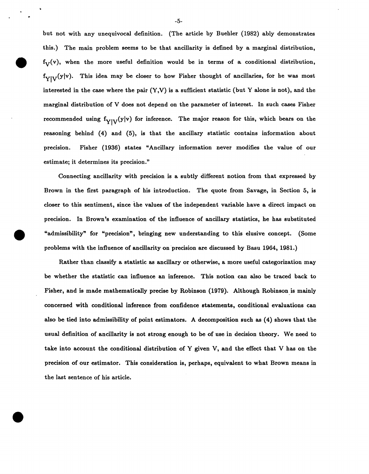but not with any unequivocal definition. (The article by Buehler {1982) ably demonstrates this.) The main problem seems to be that ancillarity is defined by a marginal distribution,  $f_V(v)$ , when the more useful definition would be in terms of a conditional distribution,  $f_{Y|V}(y|v)$ . This idea may be closer to how Fisher thought of ancillaries, for he was most interested in the case where the pair  $(Y, V)$  is a sufficient statistic (but Y alone is not), and the marginal distribution of V does not depend on the parameter of interest. In such cases Fisher recommended using  $f_{Y|V}(y|v)$  for inference. The major reason for this, which bears on the reasoning behind {4) and {5), is that the ancillary statistic contains information about precision. Fisher {1936) states "Ancillary information never modifies the value of our estimate; it determines its precision."

Connecting ancillarity with precision is a subtly different notion from that expressed by Brown in the first paragraph of his introduction. The quote from Savage, in Section 5, is closer to this sentiment, since the values of the independent variable have a direct impact on precision. In Brown's examination of the influence of ancillary statistics, he has substituted "admissibility" for "precision", bringing new understanding to this elusive concept. (Some problems with the influence of ancillarity on precision are discussed by Basu 1964, 1981.)

Rather than classify a statistic as ancillary or otherwise, a more useful categorization may be whether the statistic can influence an inference. This notion can also be traced back to Fisher, and is made mathematically precise by Robinson (1979). Although Robinson is mainly concerned with conditional inference from confidence statements, conditional evaluations can also be tied into admissibility of point estimators. A decomposition such as (4) shows that the usual definition of ancillarity is not strong enough to be of use in decision theory. We need to take into account the conditional distribution of Y given V, and the effect that V has on the precision of our estimator. This consideration is, perhaps, equivalent to what Brown means in the last sentence of his article.

-5-